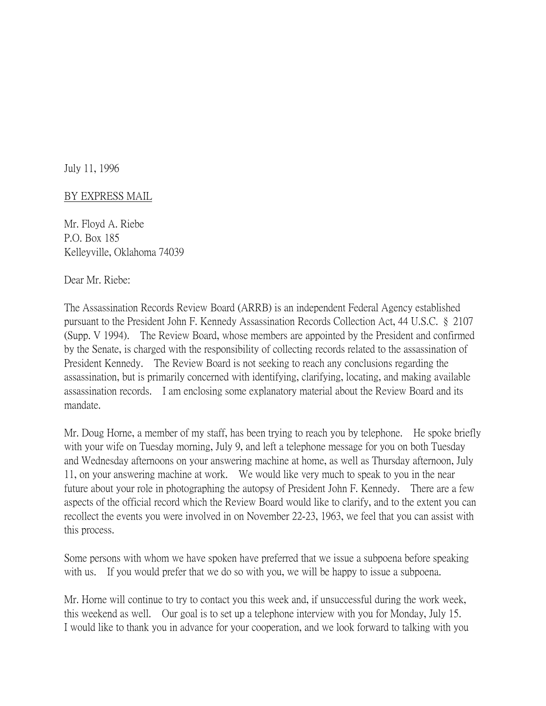July 11, 1996

## BY EXPRESS MAIL

Mr. Floyd A. Riebe P.O. Box 185 Kelleyville, Oklahoma 74039

Dear Mr. Riebe:

The Assassination Records Review Board (ARRB) is an independent Federal Agency established pursuant to the President John F. Kennedy Assassination Records Collection Act, 44 U.S.C. § 2107 (Supp. V 1994). The Review Board, whose members are appointed by the President and confirmed by the Senate, is charged with the responsibility of collecting records related to the assassination of President Kennedy. The Review Board is not seeking to reach any conclusions regarding the assassination, but is primarily concerned with identifying, clarifying, locating, and making available assassination records. I am enclosing some explanatory material about the Review Board and its mandate.

Mr. Doug Horne, a member of my staff, has been trying to reach you by telephone. He spoke briefly with your wife on Tuesday morning, July 9, and left a telephone message for you on both Tuesday and Wednesday afternoons on your answering machine at home, as well as Thursday afternoon, July 11, on your answering machine at work. We would like very much to speak to you in the near future about your role in photographing the autopsy of President John F. Kennedy. There are a few aspects of the official record which the Review Board would like to clarify, and to the extent you can recollect the events you were involved in on November 22-23, 1963, we feel that you can assist with this process.

Some persons with whom we have spoken have preferred that we issue a subpoena before speaking with us. If you would prefer that we do so with you, we will be happy to issue a subpoena.

Mr. Horne will continue to try to contact you this week and, if unsuccessful during the work week, this weekend as well. Our goal is to set up a telephone interview with you for Monday, July 15. I would like to thank you in advance for your cooperation, and we look forward to talking with you